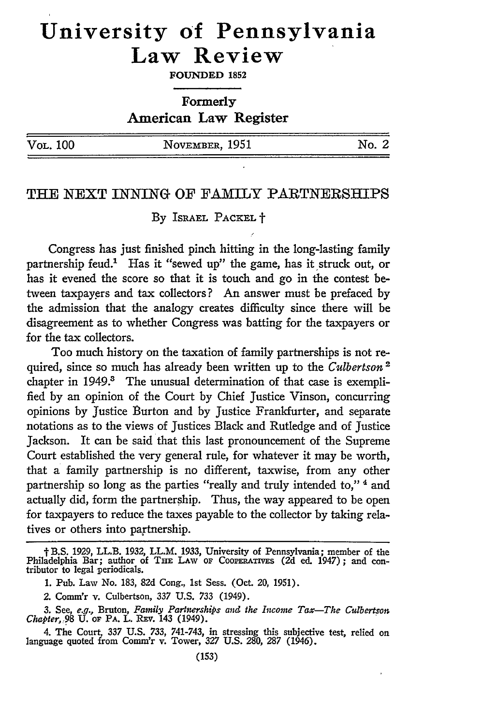# **University of Pennsylvania Law Review**

**FOUNDED 1852**

**Formerly American Law Register**

| Vol. 100 | NOVEMBER, 1951 | No. 2 |
|----------|----------------|-------|
|          |                |       |

### THE NEXT INNING OF FAMILY PARTNERSHIPS

By ISRAEL PACKEL **t**

Congress has just finished pinch hitting in the long-lasting family partnership feud.' Has it "sewed up" the game, has it struck out, or has it evened the score so that it is touch and go in the contest between taxpayers and tax collectors? An answer must be prefaced by the admission that the analogy creates difficulty since there will be disagreement as to whether Congress was batting for the taxpayers or for the tax collectors.

Too much history on the taxation of family partnerships is not required, since so much has already been written up to the *Culbertson*<sup>2</sup> chapter in 1949.<sup>8</sup> The unusual determination of that case is exemplified by an opinion of the Court by Chief Justice Vinson, concurring opinions by Justice Burton and by Justice Frankfurter, and separate notations as to the views of Justices Black and Rutledge and of Justice Jackson. It can be said that this last pronouncement of the Supreme Court established the very general rule, for whatever it may be worth, that a family partnership is no different, taxwise, from any other partnership so long as the parties "really and truly intended to,"<sup>4</sup> and actually did, form the partnership. Thus, the way appeared to be open for taxpayers to reduce the taxes payable to the collector by taking relatives or others into paytnership.

t B.S. 1929, LL.B. 1932, LL.M. 1933, University of Pennsylvania; member of the Philadelphia Bar; author of **THE** LAw oF **CooPERATiVss** (2d ed. 1947); and con- tributor to legal periodicals.

<sup>1.</sup> Pub. Law No. 183, 82d Cong., 1st Sess. (Oct. 20, 1951).

<sup>2.</sup> Comm'r v. Culbertson, 337 U.S. 733 (1949).

*<sup>3.</sup>* See, e.g., Bruton, *Family Partnerships and the Inwome Tax-The Cdbertson Chapter, 98* **U.** oF PA. L. REv. 143 (1949).

<sup>4.</sup> The Court, *337* U.S. 733, 741-743, in stressing this subjective test, relied on language quoted from Comm'r v. Tower, *327* U.S. 280, *287* (1946).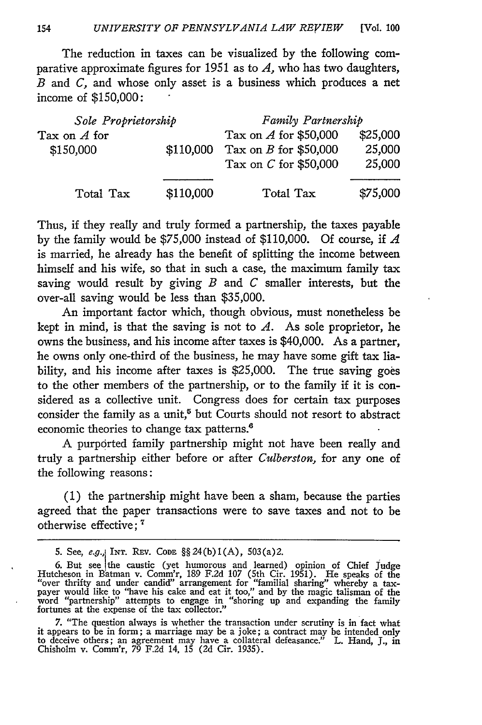154 *UNIVERSITY OF PENNSYLVANIA LAW REVIEW* [Vol. 100

The reduction in taxes can be visualized by the following comparative approximate figures for 1951 as to *A,* who has two daughters, *B* and *C,* and whose only asset is a business which produces a net income of \$150,000:

| Sole Proprietorship |           | Family Partnership      |                    |  |
|---------------------|-----------|-------------------------|--------------------|--|
| Tax on $A$ for      |           | Tax on $A$ for \$50,000 | \$25,000<br>25,000 |  |
| \$150,000           | \$110,000 | Tax on $B$ for \$50,000 |                    |  |
|                     |           | Tax on $C$ for \$50,000 | 25,000             |  |
|                     |           |                         |                    |  |
| Total Tax           | \$110,000 | Total Tax               | \$75,000           |  |

Thus, if they really and truly formed a partnership, the taxes payable by the family would be \$75,000 instead of \$110,000. Of course, if *A* is married, he already has the benefit of splitting the income between himself and his wife, so that in such a case, the maximum family tax saving would result by giving *B* and *C* smaller interests, but the over-all saving would be less than \$35,000.

An important factor which, though obvious, must nonetheless be kept in mind, is that the saving is not to  $A$ . As sole proprietor, he owns the business, and his income after taxes is \$40,000. As a partner, he owns only one-third of the business, he may have some gift tax liability, and his income after taxes is \$25,000. The true saving goes to the other members of the partnership, or to the family if it is considered as a collective unit. Congress does for certain tax purposes consider the family as a unit, $5$  but Courts should not resort to abstract economic theories to change tax patterns.<sup>6</sup>

A purported family partnership might not have been really and truly a partnership either before or after *Culberston,* for any one of the following reasons:

(1) the partnership might have been a sham, because the parties agreed that the paper transactions were to save taxes and not to be otherwise effective;<sup>7</sup>

<sup>5.</sup> See, e.g., INT. REV. CODE §§ 24(b)1(A), 503(a)2.

<sup>6.</sup> But see the caustic (yet humorous and learned) opinion of Chief Judge<br>Hutcheson in Batman v. Comm'r, 189 F.2d 107 (5th Cir. 1951). He speaks of the<br>"over thrifty and under candid" arrangement for "familial sharing" wher payer would like to "have his cake and eat it too," and by the magic talisman of the word "partnership" attempts to engage in "shoring up and expanding the family fortunes at the expense of the tax collector."

<sup>7. &</sup>quot;The question always is whether the transaction under scrutiny is in fact what<br>it appears to be in form; a marriage may be a joke; a contract may be intended only<br>to deceive others; an agreement may have a collateral de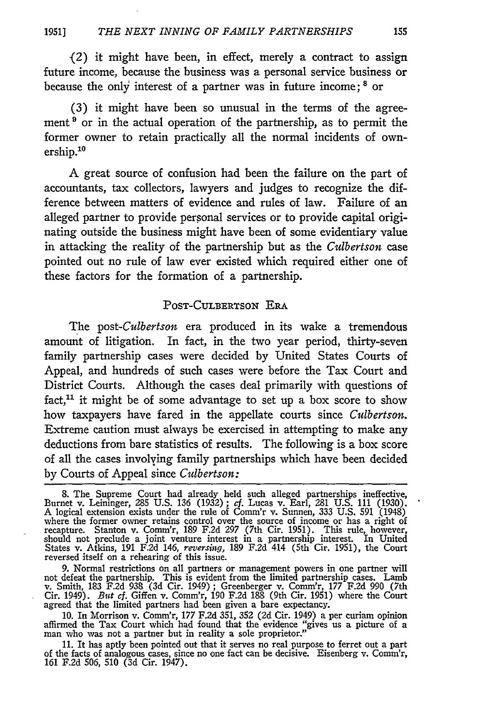(2) it might have been, in effect, merely a contract to assign future income, because the business was a personal service business or because the only interest of a partner was in future income; **8** or

(3) it might have been so unusual in the terms of the agreement<sup>9</sup> or in the actual operation of the partnership, as to permit the former owner to retain practically all the normal incidents of ownership.10

A great source of confusion had been the failure on the part of accountants, tax collectors, lawyers and judges to recognize the difference between matters of evidence and rules of law. Failure of an alleged partner to provide personal services or to provide capital originating outside the business might have been of some evidentiary value in attacking the reality of the partnership but as the *Culbertson* case pointed out no rule of law ever existed which required either one of these factors for the formation of a partnership.

#### POST-CULBERTSON ERA

The *post-Culbertson* era produced in its wake a tremendous amount of litigation. In fact, in the two year period, thirty-seven family partnership cases were decided by United States Courts of Appeal, and hundreds of such cases were before the Tax Court and District Courts. Although the cases deal primarily with questions of fact,<sup>11</sup> it might be of some advantage to set up a box score to show how taxpayers have fared in the appellate courts since *Culbertson.* Extreme caution must always be exercised in attempting to make any deductions from bare statistics of results. The following is a box score of all the cases involving family partnerships which have been decided by Courts of Appeal since *Culbertson:*

8. The Supreme Court had already held such alleged partnerships ineffective Burnet v. Leininger, 285 U.S. 136 (1932); cf. Lucas v. Earl, 281 U.S. 111 (1930). A logical extension exists under the rule of Comm'r v. Sunnen, 3 where the former owner retains control over the source of income or has a right of recapture. Stanton v. Comm'r, 189 F.2d 297 (7th Cir. 1951). This rule, however, should not preclude a joint venture interest in a partnership interest. In United States v. Atkins, 191 F.2d 146, *reversing*, 189 F.2d <sup>2</sup>114 (5th Cir. 1951), the Court reversed itself on a rehearing of this issue.

9. Normal restrictions on all partners or management powers in one partner will not defeat the partnership. This is evident from the limited partnership cases. Lamb v. Smith, 183 F.2d 938 (3d Cir. 1949) ; Greenberger v. Comm'r, 177 F.2d 990 (7th Cir. 1949). *But cf.* Giffen v. Comm'r, 190 F.2d 188 (9th Cir. 1951) where the Court agreed that the limited partners had been given a bare expectancy.

**10.** In Morrison v. Comm'r, 177 F.2d 351, 352 (2d Cir. 1949) a per curiam opinion affirmed the Tax Court which had found that the evidence "gives us a picture of a man who was not a partner but in reality a sole proprietor."

11. It has aptly been pointed out that it serves no real purpose to ferret out a part of the facts of analogous cases, since no one fact can be decisive. Eisenberg v. Comm'r, 161 F.2d 506, 510 (3d Cir. 1947).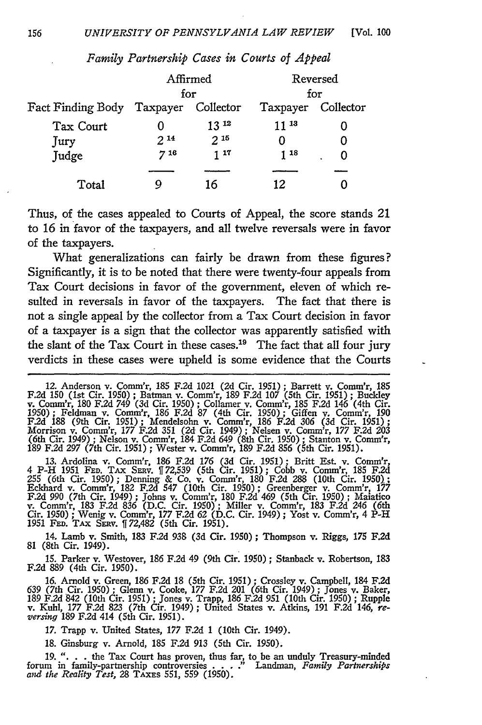| Affirmed<br>for |           | Reversed<br>for                      |   |
|-----------------|-----------|--------------------------------------|---|
|                 |           |                                      |   |
|                 | $13^{12}$ | 11 13                                |   |
| $2^{14}$        | $2^{15}$  |                                      |   |
| 718             | 1 17      | 118                                  | O |
|                 |           |                                      |   |
|                 | 16        | 12                                   |   |
|                 |           | Fact Finding Body Taxpayer Collector |   |

*Family Partnership Cases in Courts of Appeal*

Thus, of the cases appealed to Courts of Appeal, the score stands 21 to 16 in favor of the taxpayers, and all twelve reversals were in favor of the taxpayers.

What generalizations can fairly be drawn from these figures? Significantly, it is to be noted that there were twenty-four appeals from Tax Court decisions in favor of the government, eleven of which resulted in reversals in favor of the taxpayers. The fact that there is not a single appeal by the collector from a Tax Court decision in favor of a taxpayer is a sign that the collector was apparently satisfied with the slant of the Tax Court in these cases.<sup>19</sup> The fact that all four jury verdicts in these cases were upheld is some evidence that the Courts

13. Ardolina v. Comm'r, 186 F.2d 176 (3d Cir. 1951); Britt Est. v. Comm'r, 4 P-H 1951 FED. TAX SERV. [[72,539 (5th Cir. 1951); Cobb v. Comm'r, 185 F.2d 255 (6th Cir. 1950); Denning & Co. v. Comm'r, 180 F.2d 288 (10th Cir. **F.2d** 990 (7th Cir. 1949) ; Johns v. Comm'r, 180 F.2d 469 (5th Cir. 1950) ; Maiatico v. Comm'r, 183 F.2d 836 (D.C. Cir. 1950); Miller v. Comm'r, 183 F.2d *246* (6th Cir. 1950) ; Wenig v. Comm'r, 177 F.2d 62 (D.C. Cir. 1949) ; Yost v. Comm'r, 4 P-H<br>1951 FED. TAx SERv. [[72,482 (5th Cir. 1951).

14. Lamb v. Smith, 183 F.2d 938 (3d Cir. 1950); Thompson v. Riggs, 175 F.2d **81** (8th Cir. 1949).

15. Parker v. Westover, 186 F.2d 49 (9th Cir. 1950) ; Stanback v. Robertson, 183 **F.2d 889** (4th Cir. 1950).

16. Arnold v. Green, 186 F.2d 18 (5th Cir. 1951) **;** Crossley v. Campbell, 184 **F.2d** 639 (7th Cir. 1950) **;** Glenn v. Cooke, 177 F.2d 201 (6th Cir. 1949) ; Jones v. Baker, 189 F.2d 842 (10th Cir. 1951); Jones v. Trapp, 186 F.2d 951 (10th Cir. 1950); Rupple v. Kuhl, 177 F.2d 823 (7th Cir. 1949); United States v. Atkins, 191 F.2d 146, reversing 189 F.2d 414 (5th Cir. 1951).

17. Trapp v. United States, **177 F.2d** 1 (10th Cir. 1949).

18. Ginsburg v. Arnold, 185 **F.2d** 913 (5th Cir. 1950).

19. ". . . the Tax Court has proven, thus far, to be an unduly Treasury-minded forum in family-partnership controversies . . . ." Landman, *Family Partnerships and the Reality Test*, 28 TAXES 551, 559 (1950).

<sup>12.</sup> Anderson v. Comm'r, 185 F.2d 1021 (2d Cir. 1951); Barrett v. Comm'r, 185 F.2d 150 (1st Cir. 1950); Batman v. Comm'r, 189 F.2d 107 (5th Cir. 1951); Buckley v. Comm'r, 180 F.2d 749 (3d Cir. 1950); Collamer v. Comm'r, 185 189 F.2d 297 (7th Cir. 1951) ; Wester v. Comm'r, 189 F.2d 856 (5th Cir. 1951).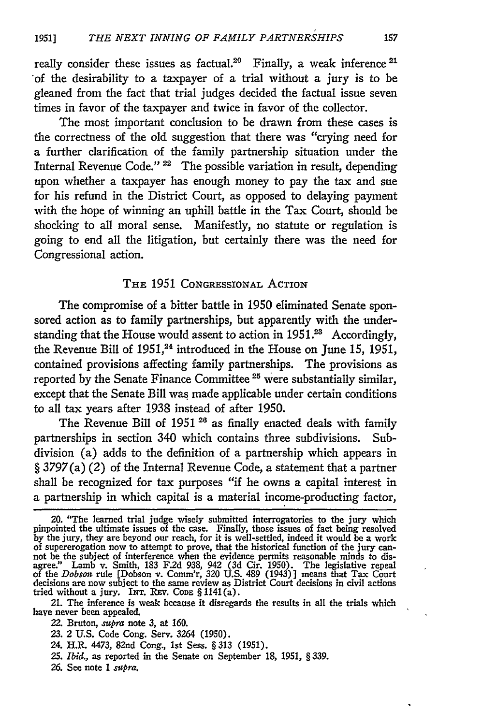really consider these issues as factual.<sup>20</sup> Finally, a weak inference  $21$ of the desirability to a taxpayer of a trial without a jury is to be gleaned from the fact that trial judges decided the factual issue seven times in favor of the taxpayer and twice in favor of the collector.

The most important conclusion to be drawn from these cases is the correctness of the old suggestion that there was "crying need for a further clarification of the family partnership situation under the Internal Revenue Code."<sup>22</sup> The possible variation in result, depending upon whether a taxpayer has enough money to pay the tax and sue for his refund in the District Court, as opposed to delaying payment with the hope of winning an uphill battle in the Tax Court, should be shocking to all moral sense. Manifestly, no statute or regulation is going to end all the litigation, but certainly there was the need for Congressional action.

### THE 1951 CONGRESSIONAL ACTION

The compromise of a bitter battle in 1950 eliminated Senate sponsored action as to family partnerships, but apparently with the understanding that the House would assent to action in  $1951.^{23}$  Accordingly, the Revenue Bill of 1951,<sup>24</sup> introduced in the House on June 15, 1951, contained provisions affecting family partnerships. The provisions as reported by the Senate Finance Committee<sup>25</sup> were substantially similar, except that the Senate Bill was made applicable under certain conditions to all tax years after 1938 instead of after 1950.

The Revenue Bill of 1951<sup>28</sup> as finally enacted deals with family partnerships in section 340 which contains three subdivisions. Subdivision (a) adds to the definition of a partnership which appears in § 3797 (a) (2) of the Internal Revenue Code, a statement that a partner shall be recognized for tax purposes "if he owns a capital interest in a partnership in which capital is a material income-producting factor,

- *25. Ibid.,* as reported in the Senate on September **18,** 1951, § 339.
- *26.* See note 1 *supra.*

<sup>20. &</sup>quot;The learned trial judge wisely submitted interrogatories to the jury which pinpointed the ultimate issues of the case. Finally, those issues of fact being resolved by the jury, they are beyond our reach, for it is well-settled, indeed it would be a work of supererogation now to attempt to prove, that the historical function of the jury can-<br>not be the subject of interference when the evidence permits reasonable minds to dis-<br>agree." Lamb v. Smith, 183 F.2d 938, 942 (3d Ci of the *Dobson* rule [Dobson v. Comm'r, 320 U.S. 489 (1943)] means that Tax Court decisions are now subject to the same review as District Court decisions in civil actions tried without a jury. INT. REV. CODE § 1141(a)

<sup>21.</sup> The inference is weak because it disregards the results in all the trials which have never been appealed.

<sup>22.</sup> Bruton, *supra* note *3,* at **160.**

<sup>23. 2</sup> U.S. Code Cong. Serv. 3264 **(1950).**

<sup>24.</sup> H.R. 4473, 82nd Cong., 1st Sess. § *313* (1951).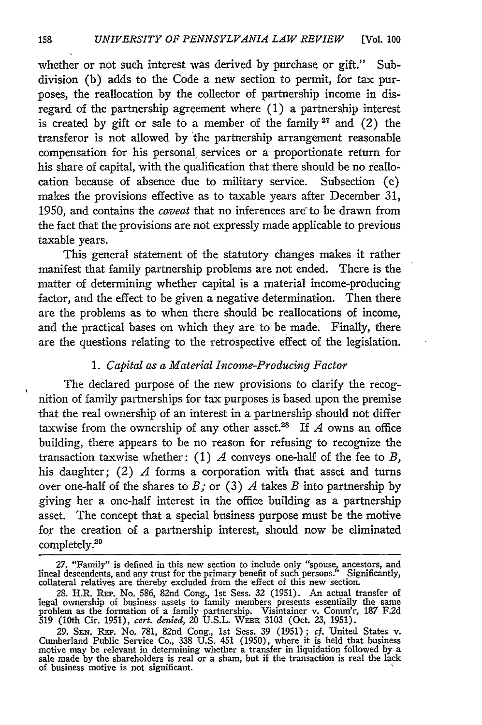whether or not such interest was derived by purchase or gift." Subdivision (b) adds to the Code a new section to permit, for tax purposes, the reallocation by the collector of partnership income in disregard of the partnership agreement where (1) a partnership interest is created by gift or sale to a member of the family<sup>27</sup> and  $(2)$  the transferor is not allowed by the partnership arrangement reasonable compensation for his personal, services or a proportionate return for his share of capital, with the qualification that there should be no reallocation because of absence due to military service. Subsection (c) makes the provisions effective as to taxable years after December 31, 1950, and contains the *caveat* that no inferences are to be drawn from the fact that the provisions are not expressly made applicable to previous taxable years.

This general statement of the statutory changes makes it rather manifest that family partnership problems are not ended. There is the matter of determining whether capital is a material income-producing factor, and the effect to be given a negative determination. Then there are the problems as to when there should be reallocations of income, and the practical bases on which they are to be made. Finally, there are the questions relating to the retrospective effect of the legislation.

## *1. Capital as a Material Income-Producing Factor*

The declared purpose of the new provisions to clarify the recognition of family partnerships for tax purposes is based upon the premise that the real ownership of an interest in a partnership should not differ taxwise from the ownership of any other asset.<sup>28</sup> If  $A$  owns an office building, there appears to be no reason for refusing to recognize the transaction taxwise whether: (1) *A* conveys one-half of the fee to *B,* his daughter; (2) *A* forms a corporation with that asset and turns over one-half of the shares to *B;* or (3) *A* takes *B* into partnership by giving her a one-half interest in the office building as a partnership asset. The concept that a special business purpose must be the motive for the creation of a partnership interest, should now be eliminated completely.<sup>26</sup>

<sup>27. &</sup>quot;Family" is defined in this new section to include only "spouse, ancestors, and lineal descendents, and any trust for the primary benefit of such persons." Significantly collateral relatives are thereby excluded from t

<sup>28.</sup> H.R. REP. No. 586, 82nd Cong., 1st Sess. 32 (1951). An actual transfer of legal ownership of business assets to family members presents essentially the same problem as the formation of a family partnership. Visintainer v. Comm'r, 187 **F.2d** 519 (10th Cir. 1951), cert. denied, 20 U.S.L. WEER 3103 (Oct. 23, 1951)

*<sup>29.</sup>* **SEN.** Rm. No. 781, 82nd Cong., 1st Sess. 39 (1951); cf. United States v. Cumberland Public Service Co., 338 U.S. 451 (1950), where it is held that business motive may be relevant in determining whether a transfer in liquidation followed by a sale made by the shareholders is real or a sham, but if the transaction is real the lack of business motive is not significant.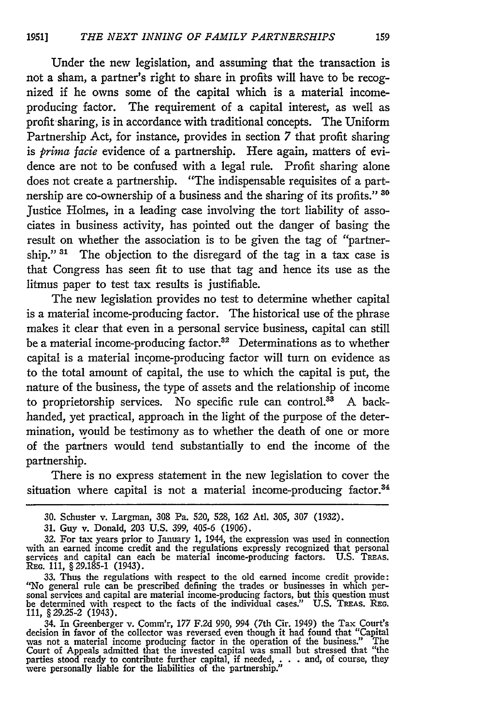Under the new legislation, and assuming that the transaction is not a sham, a partner's right to share in profits will have to be recognized if he owns some of the capital which is a material incomeproducing factor. The requirement of a capital interest, as well as profit-sharing, is in accordance with traditional concepts. The Uniform Partnership Act, for instance, provides in section 7 that profit sharing is *prima facie* evidence of a partnership. Here again, matters of evidence are not to be confused with a legal rule. Profit sharing alone does not create a partnership. "The indispensable requisites of a partnership are co-ownership of a business and the sharing of its profits." **1o** Justice Holmes, in a leading case involving the tort liability of associates in business activity, has pointed out the danger of basing the result on whether the association is to be given the tag of "partnership."  $31$  The objection to the disregard of the tag in a tax case is that Congress has seen fit to use that tag and hence its use as the litmus paper to test tax results is justifiable.

The new legislation provides no test to determine whether capital is a material income-producing factor. The historical use of the phrase makes it clear that even in a personal service business, capital can still be a material income-producing factor.<sup>32</sup> Determinations as to whether capital is a material income-producing factor will turn on evidence as to the total amount of capital, the use to which the capital is put, the nature of the business, the type of assets and the relationship of income to proprietorship services. No specific rule can control.<sup>33</sup> A backhanded, yet practical, approach in the light of the purpose of the determination, would be testimony as to whether the death of one or more of the partners would tend substantially to end the income of the partnership.

There is no express statement in the new legislation to cover the situation where capital is not a material income-producing factor.<sup>34</sup>

33. Thus the regulations with respect to the old earned income credit provide:<br>"No general rule can be prescribed defining the trades or businesses in which per-<br>sonal services and capital are material income-producing fac **111,** §29.25-2 (1943).

34. In Greenberger v. Comm'r, 177 F.2d 990, 994 (7th Cir. 1949) the Tax Court's decision in favor of the collector was reversed even though it had found that "Capital was not a material income producing factor in the opera Court of Appeals admitted that the invested capital was small but stressed that "the parties stood ready to contribute further capital, if needed, . . . and, of course, they were personally liable for the liabilities of the partnership."

**<sup>30.</sup>** Schuster v. Largman, **308** Pa. 520, 528, **162** Ati. 305, 307 (1932).

<sup>31.</sup> Guy v. Donald, 203 U.S. 399, 405-6 (1906).

<sup>32.</sup> For tax years prior to January **1,** 1944, the expression was used in connection with an earned income credit and the regulations expressly recognized that personal services and capital can each be material income-producing factors. U.S. TREAs. **REG. 111,** §29.185-1 (1943).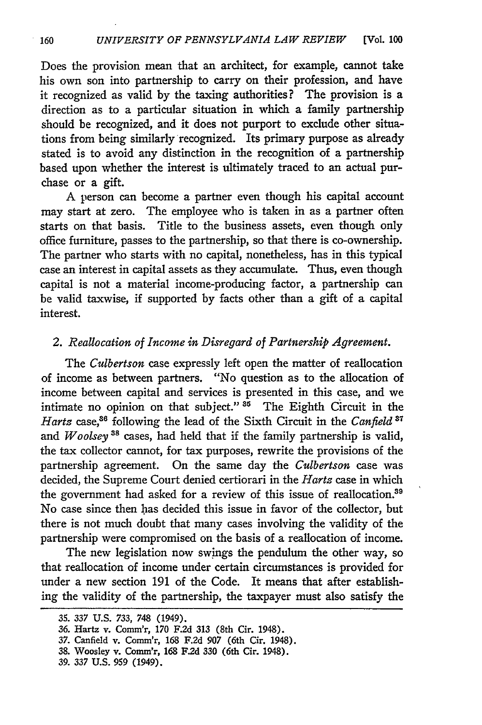Does the provision mean that an architect, for example, cannot take his own son into partnership to carry on their profession, and have it recognized as valid by the taxing authorities? The provision is a direction as to a particular situation in which a family partnership should be recognized, and it does not purport to exclude other situations from being similarly recognized. Its primary purpose as already stated is to avoid any distinction in the recognition of a partnership based upon whether the interest is ultimately traced to an actual purchase or a gift.

A person can become a partner even though his capital account may start at zero. The employee who is taken in as a partner often starts on that basis. Title to the business assets, even though only office furniture, passes to the partnership, so that there is co-ownership. The partner who starts with no capital, nonetheless, has in this typical case an interest in capital assets as they accumulate. Thus, even though capital is not a material income-producing factor, a partnership can be valid taxwise, if supported **by** facts other than a gift of a capital interest.

## *2. Reallocation of Income in Disregard of Partnership Agreement.*

The *Culbertson* case expressly left open the matter of reallocation of income as between partners. "No question as to the allocation of income between capital and services is presented in this case, and we intimate no opinion on that subject."  $35$  The Eighth Circuit in the Hartz case,<sup>36</sup> following the lead of the Sixth Circuit in the *Canfield*<sup>37</sup> and *Woolsey*<sup>38</sup> cases, had held that if the family partnership is valid, the tax collector cannot, for tax purposes, rewrite the provisions of the partnership agreement. On the same day the *Culbertson* case was decided, the Supreme Court denied certiorari in the *Hartz* case in which the government had asked for a review of this issue of reallocation.<sup>31</sup> No case since then has decided this issue in favor of the collector, but there is not much doubt that many cases involving the validity of the partnership were compromised on the basis of a reallocation of income.

The new legislation now swings the pendulum the other way, so that reallocation of income under certain circumstances is provided for under a new section 191 of the Code. It means that after establishing the validity of the partnership, the taxpayer must also satisfy the

<sup>35.</sup> *337* U.S. *733,* 748 (1949).

<sup>36.</sup> Hartz v. Comm'r, 170 F.2d 313 (8th Cir. 1948).

**<sup>37.</sup>** Canfield v. Conm'r, 168 **F.2d** 907 (6th Cir. 1948).

<sup>38.</sup> Woosley v. Comm'r, 168 **F.2d** 330 (6th Cir. 1948).

<sup>39. 337</sup> U.S. 959 (1949).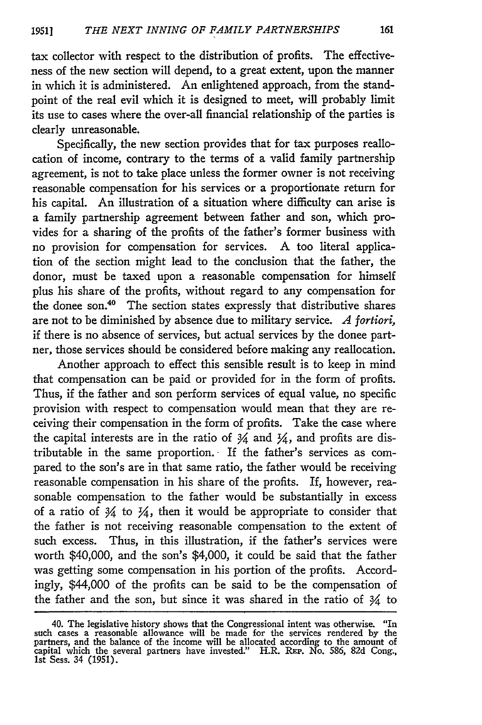tax collector with respect to the distribution of profits. The effectiveness of the new section will depend, to a great extent, upon the manner in which it is administered. An enlightened approach, from the standpoint of the real evil which it is designed to meet, will probably limit its use to cases where the over-all financial relationship of the parties is clearly unreasonable.

Specifically, the new section provides that for tax purposes reallocation of income, contrary to the terms of a valid family partnership agreement, is not to take place unless the former owner is not receiving reasonable compensation for his services or a proportionate return for his capital. An illustration of a situation where difficulty can arise is a family partnership agreement between father and son, which provides for a sharing of the profits of the father's former business with no provision for compensation for services. **A** too literal application of the section might lead to the conclusion that the father, the donor, must be taxed upon a reasonable compensation for himself plus his share of the profits, without regard to any compensation for the donee son. $40$  The section states expressly that distributive shares are not to be diminished by absence due to military service. *A fortiori,* if there is no absence of services, but actual services by the donee partner, those services should be considered before making any reallocation.

Another approach to effect this sensible result is to keep in mind that compensation can be paid or provided for in the form of profits. Thus, if the father and son perform services of equal value, no specific provision with respect to compensation would mean that they are receiving their compensation in the form of profits. Take the case where the capital interests are in the ratio of  $\frac{3}{4}$  and  $\frac{1}{4}$ , and profits are distributable in the same proportion. If the father's services as compared to the son's are in that same ratio, the father would be receiving reasonable compensation in his share of the profits. If, however, reasonable compensation to the father would be substantially in excess of a ratio of  $\frac{3}{4}$  to  $\frac{1}{4}$ , then it would be appropriate to consider that the father is not receiving reasonable compensation to the extent of such excess. Thus, in this illustration, if the father's services were worth \$40,000, and the son's \$4,000, it could be said that the father was getting some compensation in his portion of the profits. Accordingly, \$44,000 of the profits can be said to be the compensation of the father and the son, but since it was shared in the ratio of  $\frac{3}{4}$  to

<sup>40.</sup> The legislative history shows that the Congressional intent was otherwise. "In such cases a reasonable allowance will be made for the services rendered by the partners, and the balance of the income will be allocated a 1st Sess. 34 (1951).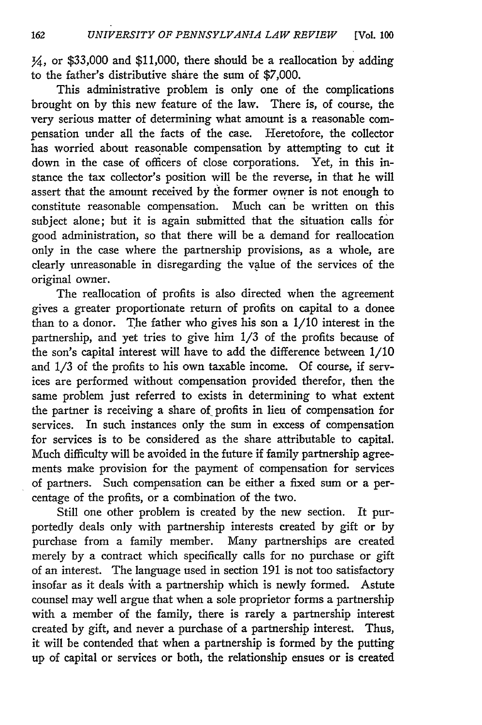$\frac{1}{4}$ , or \$33,000 and \$11,000, there should be a reallocation by adding to the father's distributive share the sum of \$7,000.

This administrative problem is only one of the complications brought on by this new feature of the law. There is, of course, the very serious matter of determining what amount is a reasonable compensation under all the facts of the case. Heretofore, the collector has worried about reasonable compensation by attempting to cut it down in the case of officers of close corporations. Yet, in this instance the tax collector's position will be the reverse, in that he will assert that the amount received by the former owner is not enough to constitute reasonable compensation. Much can be written on this subject alone; but it is again submitted that the situation calls for good administration, so that there will be a demand for reallocation only in the case where the partnership provisions, as a whole, are clearly unreasonable in disregarding the value of the services of the original owner.

The reallocation of profits is also directed when the agreement gives a greater proportionate return of profits on capital to a donee than to a donor. The father who gives his son a 1/10 interest in the partnership, and yet tries to give him 1/3 of the profits because of the son's capital interest will have to add the difference between 1/10 and 1/3 of the profits to his own taxable income. Of course, if services are performed without compensation provided therefor, then the same problem just referred to exists in determining to what extent the partner is receiving a share of profits in lieu of compensation for services. In such instances only the sum in excess of compensation for services is to be considered as the share attributable to capital. Much difficulty will be avoided in the future if family partnership agreements make provision for the payment of compensation for services of partners. Such compensation can be either a fixed sum or a percentage of the profits, or a combination of the two.

Still one other problem is created by the new section. It purportedly deals only with partnership interests created by gift or by purchase from a family member. Many partnerships are created merely by a contract which specifically calls for no purchase or gift of an interest. The language used in section 191 is not too satisfactory insofar as it deals with a partnership which is newly formed. Astute counsel may well argue that when a sole proprietor forms a partnership with a member of the family, there is rarely a partnership interest created by gift, and never a purchase of a partnership interest. Thus, it will be contended that when a partnership is formed by the putting up of capital or services or both, the relationship ensues or is created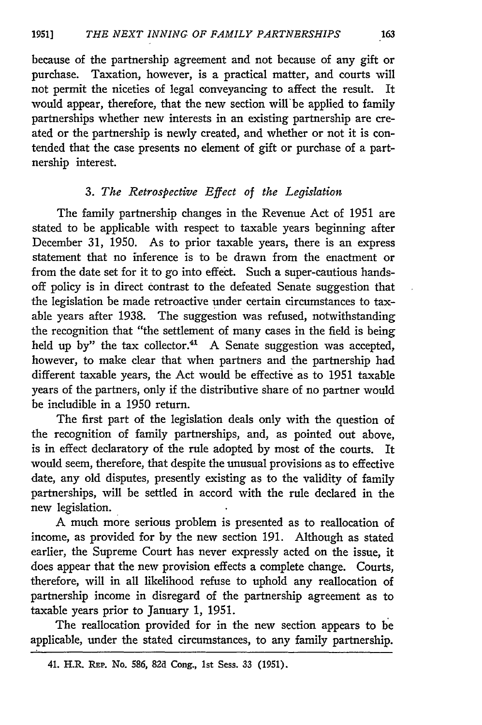because of the partnership agreement and not because of any gift or purchase. Taxation, however, is a practical matter, and courts will not permit the niceties of legal conveyancing to affect the result. It would appear, therefore, that the new section will'be applied to family partnerships whether new interests in an existing partnership are created or the partnership is newly created, and whether or not it is contended that the case presents no element of gift or purchase of a partnership interest.

## *3. The Retrospective Effect of the Legislation*

The family partnership changes in the Revenue Act of 1951 are stated to be applicable with respect to taxable years beginning after December 31, 1950. As to prior taxable years, there is an express statement that no inference is to be drawn from the enactment or from the date set for it to go into effect. Such a super-cautious handsoff policy is in direct contrast to the defeated Senate suggestion that the legislation be made retroactive under certain circumstances to taxable years after 1938. The suggestion was refused, notwithstanding the recognition that "the settlement of many cases in the field is being held up by" the tax collector.<sup>41</sup> A Senate suggestion was accepted, however, to make clear that when partners and the partnership had different taxable years, the Act would be effective as to 1951 taxable years of the partners, only if the distributive share of no partner would be includible in a 1950 return.

The first part of the legislation deals only with the question of the recognition of family partnerships, and, as pointed out above, is in effect declaratory of the rule adopted **by** most of the courts. It would seem, therefore, that despite the unusual provisions as to effective date, any old disputes, presently existing as to the validity of family partnerships, will be settled in accord with the rule declared in the new legislation.

A much more serious problem is presented as to reallocation of income, as provided for **by** the new section 191. Although as stated earlier, the Supreme Court has never expressly acted on the issue, it does appear that the new provision effects a complete change. Courts, therefore, will in all likelihood refuse to uphold any reallocation of partnership income in disregard of the partnership agreement as to taxable years prior to January 1, **1951.**

The reallocation provided for in the new section appears to be applicable, under the stated circumstances, to any family partnership.

<sup>41.</sup> H.R. **REP.** No. 586, **82d** Cong., 1st Sess. 33 (1951).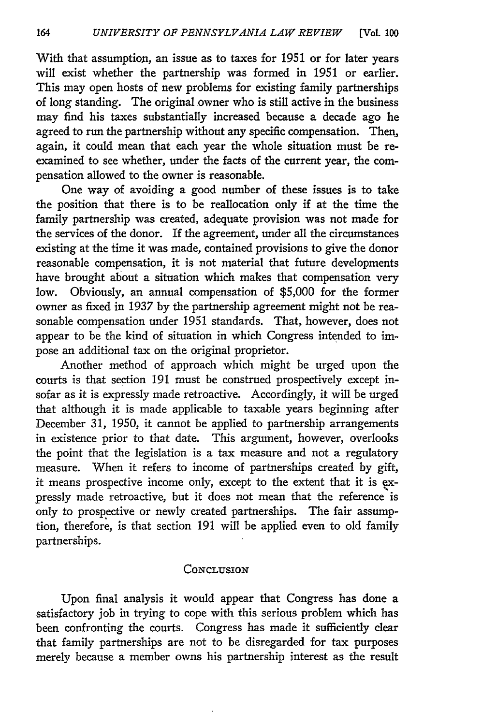With that assumption, an issue as to taxes for 1951 or for later years will exist whether the partnership was formed in 1951 or earlier. This may open hosts of new problems for existing family partnerships of long standing. The original owner who is still active in the business may find his taxes substantially increased because a decade ago he agreed to run the partnership without any specific compensation. Then, again, it could mean that each year the whole situation must be reexamined to see whether, under the facts of the current year, the compensation allowed to the owner is reasonable.

One way of avoiding a good number of these issues is to take the position that there is to be reallocation only if at the time the family partnership was created, adequate provision was not made for the services of the donor. If the agreement, under all the circumstances existing at the time it was made, contained provisions to give the donor reasonable compensation, it is not material that future developments have brought about a situation which makes that compensation very low. Obviously, an annual compensation of \$5,000 for the former owner as fixed in 1937 **by** the partnership agreement might not be reasonable compensation under 1951 standards. That, however, does not appear to be the kind of situation in which Congress intended to impose an additional tax on the original proprietor.

Another method of approach which might be urged upon the courts is that section 191 must be construed prospectively except insofar as it is expressly made retroactive. Accordingly, it will be urged that although it is made applicable to taxable years beginning after December 31, 1950, it cannot be applied to partnership arrangements in existence prior to that date. This argument, however, overlooks the point that the legislation is a tax measure and not a regulatory measure. When it refers to income of partnerships created by gift, it means prospective income only, except to the extent that it is **ex**pressly made retroactive, but it does not mean that the reference is only to prospective or newly created partnerships. The fair assumption, therefore, is that section 191 will be applied even to old family partnerships.

#### **CONCLUSION**

Upon final analysis it would appear that Congress has done a satisfactory job in trying to cope with this serious problem which has been confronting the courts. Congress has made it sufficiently clear that family partnerships are not to be disregarded for tax purposes merely because a member owns his partnership interest as the result